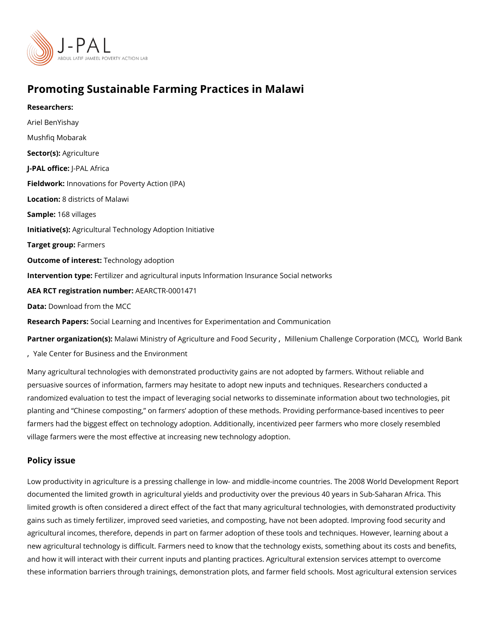## Promoting Sustainable Farming Practices in Malawi

Researchers: Ariel BenYishay [Mushfiq Mo](https://www.povertyactionlab.org/person/mobarak)barak Sector(Asgriculture J-PAL oftli-cPeAL Africa Fieldworkhovations for Poverty Action (IPA) Locatio 8: districts of Malawi Sample: 68 villages Initiative (s): icultural Technology Adoption Initiative Target grofupermers Outcome of intelestinology adoption Intervention topetilizer and agricultural inputs Information Insurance Social networks AEA RCT registration ArEuAnRbCeTR-0001471 Data[Download from t](https://data.mcc.gov/evaluations/index.php/catalog/55)he MCC Research Papersal Learning and Incentives for Experimentation and Communication

Partner organizatiWican(asw)i: Ministry of Agriculture and Milfilosond uSmedQuhratily enge Corpordention onlogidaGC) [,](https://www.povertyactionlab.org/partners/world-bank) [Yale Center for Business and](https://www.povertyactionlab.org/partners/yale-center-business-and-environment) the Environment

Many agricultural technologies with demonstrated productivity gains are not adopted by fa persuasive sources of information, farmers may hesitate to adopt new inputs and techniqu randomized evaluation to test the impact of leveraging social networks to disseminate inf planting and Chinese composting, on farmers adoption of these methods. Providing perf farmers had the biggest effect on technology adoption. Additionally, incentivized peer far village farmers were the most effective at increasing new technology adoption.

Policy issue

Low productivity in agriculture is a pressing challenge in low- and middle-income countrie documented the limited growth in agricultural yields and productivity over the previous 40 limited growth is often considered a direct effect of the fact that many agricultural techno gains such as timely fertilizer, improved seed varieties, and composting, have not been a agricultural incomes, therefore, depends in part on farmer adoption of these tools and ted new agricultural technology is difficult. Farmers need to know that the technology exists, and how it will interact with their current inputs and planting practices. Agricultural exter these information barriers through trainings, demonstration plots, and farmer field school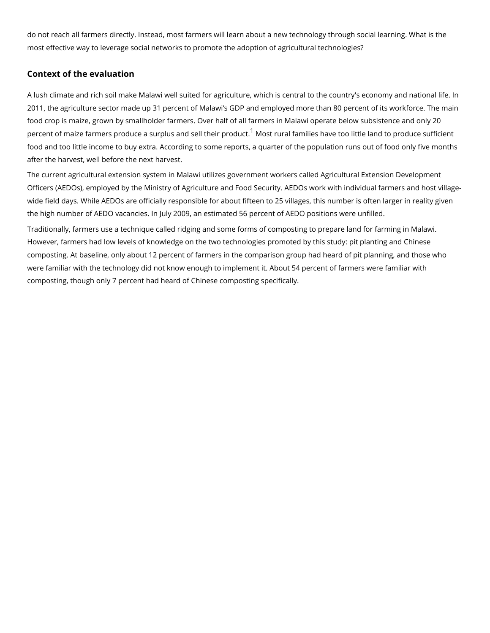do not reach all farmers directly. Instead, most farmers will learn about a new technology most effective way to leverage social networks to promote the adoption of agricultural ted

## Context of the evaluation

A lush climate and rich soil make Malawi well suited for agriculture, which is central to th 2011, the agriculture sector made up 31 percent of Malawi s GDP and employed more than food crop is maize, grown by smallholder farmers. Over half of all farmers in Malawi oper percent of maize farmers produce a surplus<sup>[1](#page-3-0)</sup> aM**ndssterlurtahle fiampirloiels dit**ave too little land to pro food and too little income to buy extra. According to some reports, a quarter of the popul after the harvest, well before the next harvest.

The current agricultural extension system in Malawi utilizes government workers called Ag Officers (AEDOs), employed by the Ministry of Agriculture and Food Security. AEDOs work wide field days. While AEDOs are officially responsible for about fifteen to 25 villages, th the high number of AEDO vacancies. In July 2009, an estimated 56 percent of AEDO posit

Traditionally, farmers use a technique called ridging and some forms of composting to pre However, farmers had low levels of knowledge on the two technologies promoted by this s composting. At baseline, only about 12 percent of farmers in the comparison group had he were familiar with the technology did not know enough to implement it. About 54 percent of composting, though only 7 percent had heard of Chinese composting specifically.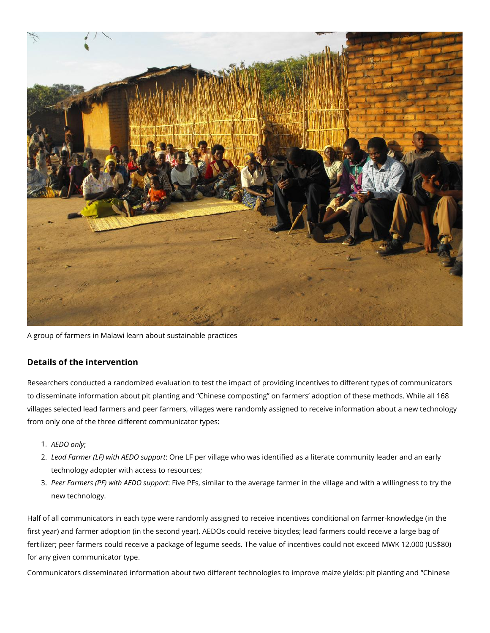

A group of farmers in Malawi learn about sustainable practices

## **Details of the intervention**

Researchers conducted a randomized evaluation to test the impact of providing incentives to different types of communicators to disseminate information about pit planting and "Chinese composting" on farmers' adoption of these methods. While all 168 villages selected lead farmers and peer farmers, villages were randomly assigned to receive information about a new technology from only one of the three different communicator types:

- 1. *AEDO only*;
- 2. *Lead Farmer (LF) with AEDO support*: One LF per village who was identified as a literate community leader and an early technology adopter with access to resources;
- 3. *Peer Farmers (PF) with AEDO support*: Five PFs, similar to the average farmer in the village and with a willingness to try the new technology.

Half of all communicators in each type were randomly assigned to receive incentives conditional on farmer-knowledge (in the first year) and farmer adoption (in the second year). AEDOs could receive bicycles; lead farmers could receive a large bag of fertilizer; peer farmers could receive a package of legume seeds. The value of incentives could not exceed MWK 12,000 (US\$80) for any given communicator type.

Communicators disseminated information about two different technologies to improve maize yields: pit planting and "Chinese